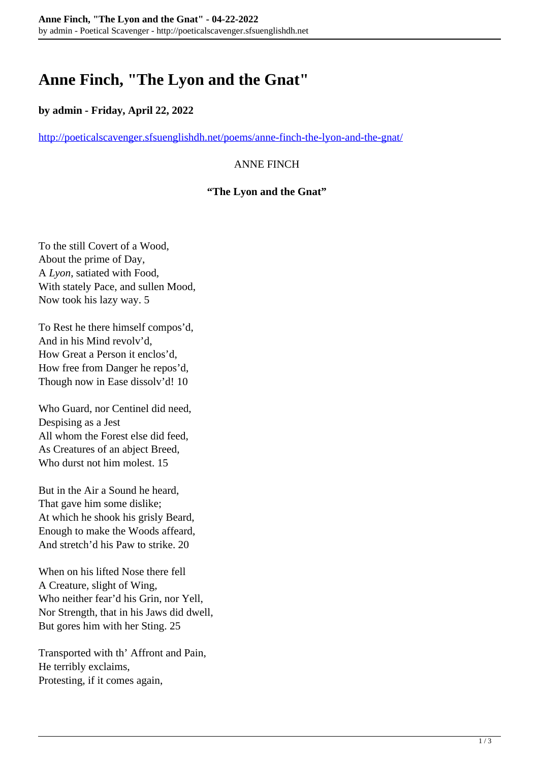# **Anne Finch, "The Lyon and the Gnat"**

# **by admin - Friday, April 22, 2022**

<http://poeticalscavenger.sfsuenglishdh.net/poems/anne-finch-the-lyon-and-the-gnat/>

## ANNE FINCH

#### **"The Lyon and the Gnat"**

To the still Covert of a Wood, About the prime of Day, A *Lyon*, satiated with Food, With stately Pace, and sullen Mood, Now took his lazy way. 5

To Rest he there himself compos'd, And in his Mind revolv'd, How Great a Person it enclos'd, How free from Danger he repos'd, Though now in Ease dissolv'd! 10

Who Guard, nor Centinel did need, Despising as a Jest All whom the Forest else did feed, As Creatures of an abject Breed, Who durst not him molest. 15

But in the Air a Sound he heard, That gave him some dislike; At which he shook his grisly Beard, Enough to make the Woods affeard, And stretch'd his Paw to strike. 20

When on his lifted Nose there fell A Creature, slight of Wing, Who neither fear'd his Grin, nor Yell, Nor Strength, that in his Jaws did dwell, But gores him with her Sting. 25

Transported with th' Affront and Pain, He terribly exclaims, Protesting, if it comes again,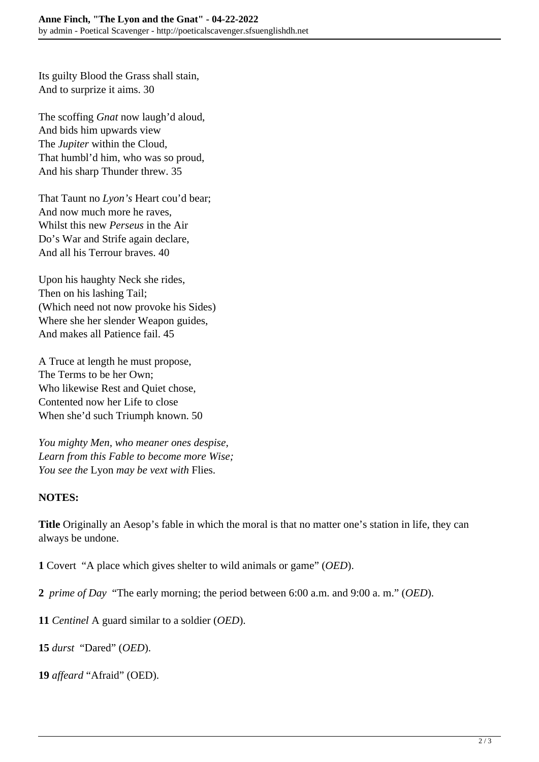Its guilty Blood the Grass shall stain, And to surprize it aims. 30

The scoffing *Gnat* now laugh'd aloud, And bids him upwards view The *Jupiter* within the Cloud, That humbl'd him, who was so proud, And his sharp Thunder threw. 35

That Taunt no *Lyon's* Heart cou'd bear; And now much more he raves, Whilst this new *Perseus* in the Air Do's War and Strife again declare, And all his Terrour braves. 40

Upon his haughty Neck she rides, Then on his lashing Tail; (Which need not now provoke his Sides) Where she her slender Weapon guides, And makes all Patience fail. 45

A Truce at length he must propose, The Terms to be her Own; Who likewise Rest and Quiet chose, Contented now her Life to close When she'd such Triumph known. 50

*You mighty Men, who meaner ones despise, Learn from this Fable to become more Wise; You see the* Lyon *may be vext with* Flies.

# **NOTES:**

**Title** Originally an Aesop's fable in which the moral is that no matter one's station in life, they can always be undone.

**1** Covert "A place which gives shelter to wild animals or game" (*OED*).

**2** *prime of Day* "The early morning; the period between 6:00 a.m. and 9:00 a. m." (*OED*).

**11** *Centinel* A guard similar to a soldier (*OED*).

**15** *durst* "Dared" (*OED*).

**19** *affeard* "Afraid" (OED).